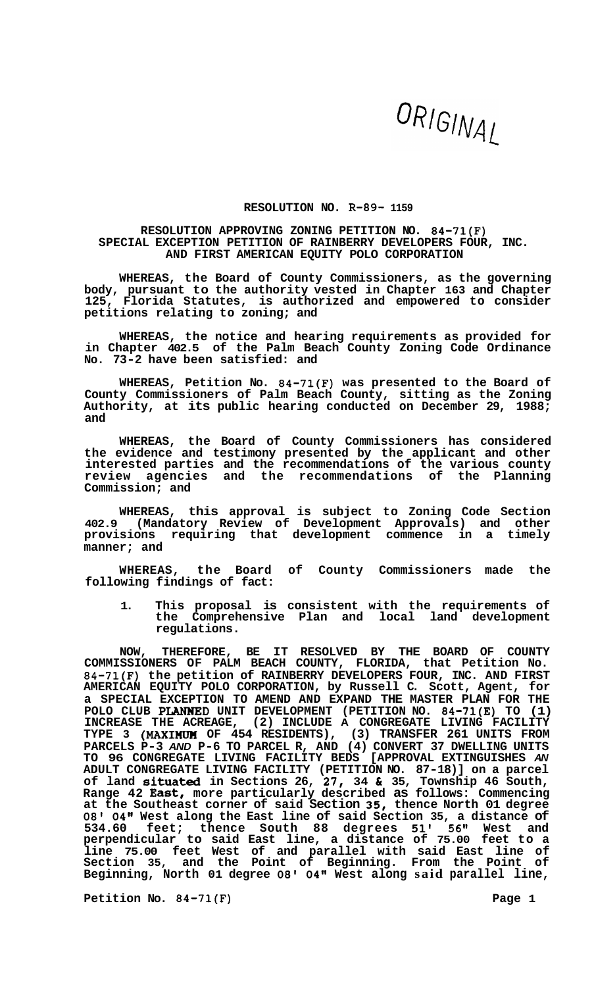## ORIGINAL

## **RESOLUTION NO. R-89- 1159**

## **RESOLUTION APPROVING ZONING PETITION NO. 84-71(F) SPECIAL EXCEPTION PETITION OF RAINBERRY DEVELOPERS FOUR, INC. AND FIRST AMERICAN EQUITY POLO CORPORATION**

**WHEREAS, the Board of County Commissioners, as the governing body, pursuant to the authority vested in Chapter 163 and Chapter 125, Florida Statutes, is authorized and empowered to consider petitions relating to zoning; and** 

**WHEREAS, the notice and hearing requirements as provided for in Chapter 402.5 of the Palm Beach County Zoning Code Ordinance No. 73-2 have been satisfied: and** 

**WHEREAS, Petition No. 84-71(F) was presented to the Board of County Commissioners of Palm Beach County, sitting as the Zoning Authority, at its public hearing conducted on December 29, 1988; and** 

**WHEREAS, the Board of County Commissioners has considered the evidence and testimony presented by the applicant and other interested parties and the recommendations of the various county review agencies and the recommendations of the Planning Commission; and** 

**WHEREAS, this approval is subject to Zoning Code Section 402.9 (Mandatory Review of Development Approvals) and other provisions requiring that development commence in a timely manner; and** 

**WHEREAS, the Board of County Commissioners made the following findings of fact:** 

**1. This proposal is consistent with the requirements of the Comprehensive Plan and local land development regulations.** 

**NOW, THEREFORE, BE IT RESOLVED BY THE BOARD OF COUNTY COMMISSIONERS OF PALM BEACH COUNTY, FLORIDA, that Petition No. 84-71(F) the petition of RAINBERRY DEVELOPERS FOUR, INC. AND FIRST AMERICAN EQUITY POLO CORPORATION, by Russell C. Scott, Agent, for a SPECIAL EXCEPTION TO AMEND AND EXPAND THE MASTER PLAN FOR THE POLO CLUB PLANWED UNIT DEVELOPMENT (PETITION NO. 84-71(E) TO (1) INCREASE THE ACREAGE, (2) INCLUDE A CONGREGATE LIVING FACILITY TYPE 3 (MAXIHUH OF 454 RESIDENTS), (3) TRANSFER 261 UNITS FROM PARCELS P-3** *AND* **P-6 TO PARCEL R, AND (4) CONVERT 37 DWELLING UNITS TO 96 CONGREGATE LIVING FACILITY BEDS [APPROVAL EXTINGUISHES** *AN*  **ADULT CONGREGATE LIVING FACILITY (PETITION NO. 87-18)] on a parcel of land situated in Sections 26, 27, 34 C 35, Township 46 South, Range 42 East, more particularly described as follows: Commencing at the Southeast corner of said Section 35, thence North 01 degree 08' 04" West along the East line of said Section 35, a distance of 534.60 feet; thence South 88 degrees 51' 56" West and perpendicular to said East line, a distance of 75.00 feet to a line 75.00 feet West of and parallel with said East line of Section 35, and the Point of Beginning. From the Point of Beginning, North 01 degree** *08'* **04" West along said parallel line,** 

**Petition No. 84-71(F) Page 1**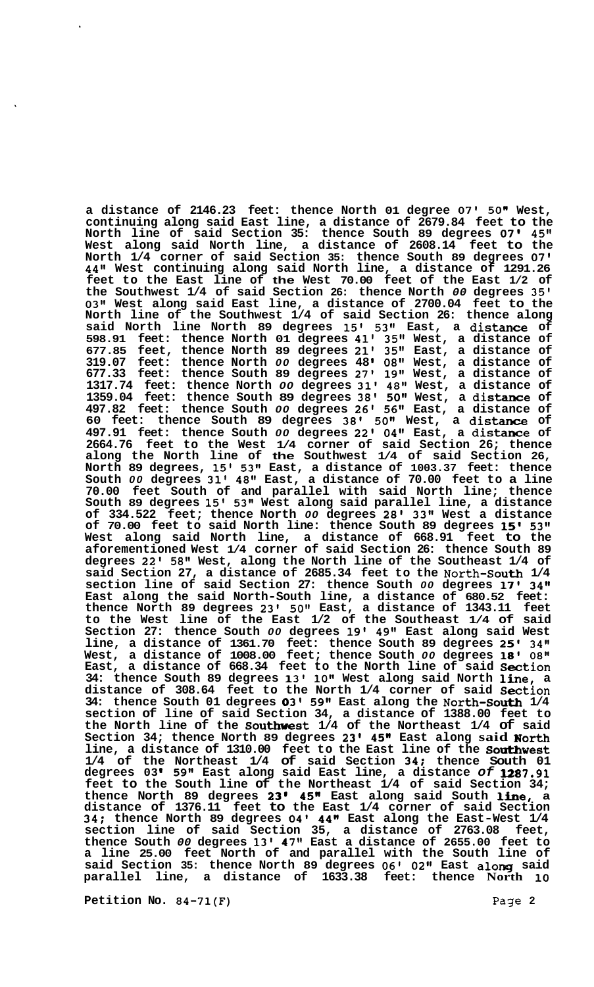**a distance of 2146.23 feet: thence North 01 degree 07' 50" West, continuing along said East line, a distance of 2679.84 feet to the North line of said Section 35: thence South 89 degrees** *07'* **45" West along said North line, a distance of 2608.14 feet to the North 1/4 corner of said Section 35: thence South 89 degrees 07' 44" West continuing along said North line, a distance of 1291.26 feet to the East line of the West 70.00 feet of the East 1/2 of the Southwest 1/4 of said Section 26: thence North** *00* **degrees 35' 03" West along said East line, a distance of 2700.04 feet to the North line of the Southwest 1/4 of said Section 26: thence along said North line North 89 degrees 15' 53" East, a distance of 598.91 feet: thence North 01 degrees 41' 35" West, a distance of 677.85 feet, thence North 89 degrees 21' 35" East, a distance of 319.07 feet: thence North** *00* **degrees 48 08" West, a distance of 677.33 feet: thence South 89 degrees 27' 19" West, a distance of 1317.74 feet: thence North** *00* **degrees 31' 48" West, a distance of 1359.04 feet: thence South 89 degrees 38' 501' West, a distance of 497.82 feet: thence South** *00* **degrees 26' 56" East, a distance of 60 feet: thence South 89 degrees 38' 50" West, a distance of 497.91 feet: thence South** *00* **degrees 22' 04" East, a distance of 2664.76 feet to the West 1/4 corner of said Section 26; thence along the North line of the Southwest 1/4 of said Section 26, North 89 degrees, 15' 53" East, a distance of 1003.37 feet: thence South** *00* **degrees 31' 48" East, a distance of 70.00 feet to a line 70.00 feet South of and parallel with said North line; thence South 89 degrees 15' 53" West along said parallel line, a distance of 334.522 feet; thence North** *00* **degrees 28' 33" West a distance of 70.00 feet to said North line: thence South 89 degrees 15' 53" West along said North line, a distance of 668.91 feet to the aforementioned West 1/4 corner of said Section 26: thence South 89 degrees 22' 58'' West, along the North line of the Southeast 1/4 of said Section 27, a distance of 2685.34 feet to the North-South 1/4 section line of said Section 27: thence South** *00* **degrees 17' 34" East along the said North-South line, a distance of 680.52 feet: thence North 89 degrees 23' 50" East, a distance of 1343.11 feet to the West line of the East 1/2 of the Southeast 1/4 of said Section 27: thence South** *00* **degrees 19' 49'' East along said West line, a distance of 1361.70 feet: thence South 89 degrees 25' 34" West, a distance of 1008.00 feet; thence South** *00* **degrees 18' 08" East, a distance of 668.34 feet to the North line of said Section 34: thence South 89 degrees 13' 10" West along said North line, a distance of 308.64 feet to the North 1/4 corner of said Section 34: thence South 01 degrees 03' 59" East along the North-South 1/4 section of line of said Section 34, a distance of 1388.00 feet to the North line of the Southwest 1/4 of the Northeast 1/4 of said Section 34; thence North 89 degrees 23' 45n East along said Worth line, a distance of 1310.00 feet to the East line of the Southwest 1/4 of the Northeast 1/4 of said Section 34: thence South 01 degrees 03 59" East along said East line, a distance** *of* **U87.91 feet to the South line of the Northeast 1/4 of said Section 34; thence North 89 degrees 23' 45n East along said South line, a distance of 1376.11 feet to the East 1/4 corner of said Section 34; thence North 89 degrees 04' 44n East along the East-West 1/4 section line of said Section 35, a distance of 2763.08 feet, thence South** *00* **degrees 13' 47" East a distance of 2655.00 feet to a line 25.00 feet North of and parallel with the South line of said Section 35: thence North 89 degrees 06' 0211 East along said parallel line, a distance of 1633.38 feet: thence North 10** 

**Petition No. 84-71(F)** Page 2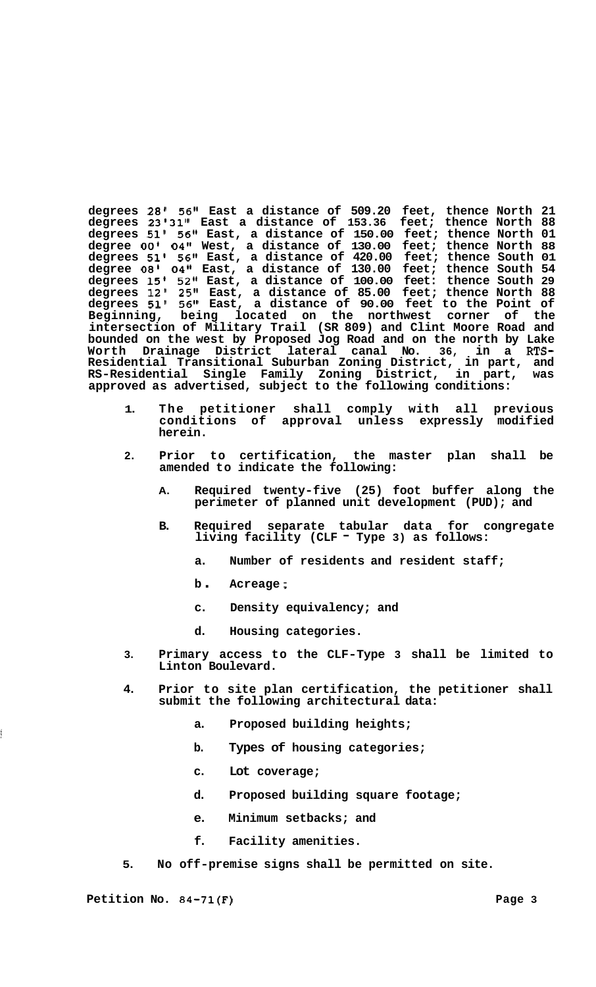**degrees 28' 56" East a distance of 509.20 feet, thence North 21 degrees 23'31'' East a distance of 153.36 feet; thence North 88 degrees 51' 56" East, a distance of 150.00 feet; thence North 01 degree** *00'* **04" West, a distance of 130.00 feet; thence North 88 degrees 51' 56" East, a distance of 420.00 feet; thence South 01 degree 08' 04" East, a distance of 130.00 feet; thence South 54 degrees 15' 52" East, a distance of 100.00 feet: thence South 29 degrees 12' 25'' East, a distance of 85.00 feet; thence North 88 degrees 51' 56" East, a distance of 90.00 feet to the Point of Beginning, being located on the northwest corner of the intersection of Military Trail (SR 809) and Clint Moore Road and bounded on the west by Proposed Jog Road and on the north by Lake Worth Drainage District lateral canal No. 36, in a RTS-Residential Transitional Suburban Zoning District, in part, and RS-Residential Single Family Zoning District, in part, was approved as advertised, subject to the following conditions:** 

- **1. The petitioner shall comply with all previous conditions of approval unless expressly modified herein.**
- **2. Prior to certification, the master plan shall be amended to indicate the following:** 
	- **A. Required twenty-five (25) foot buffer along the perimeter of planned unit development (PUD); and**
	- **B. Required separate tabular data for congregate living facility (CLF Type 3) as follows:** 
		- **a. Number of residents and resident staff;**
		- **<sup>b</sup>**. **Acreage** ;
		- **c. Density equivalency; and**
		- **d. Housing categories.**
- **3. Primary access to the CLF-Type 3 shall be limited to Linton Boulevard.**
- **4. Prior to site plan certification, the petitioner shall submit the following architectural data:** 
	- **a. Proposed building heights;**
	- **b. Types of housing categories;**
	- **c. Lot coverage;**
	- **d. Proposed building square footage;**
	- **e. Minimum setbacks; and**
	- **f. Facility amenities.**
- **5. No off-premise signs shall be permitted on site.**

Petition No. 84-71(F) Page 3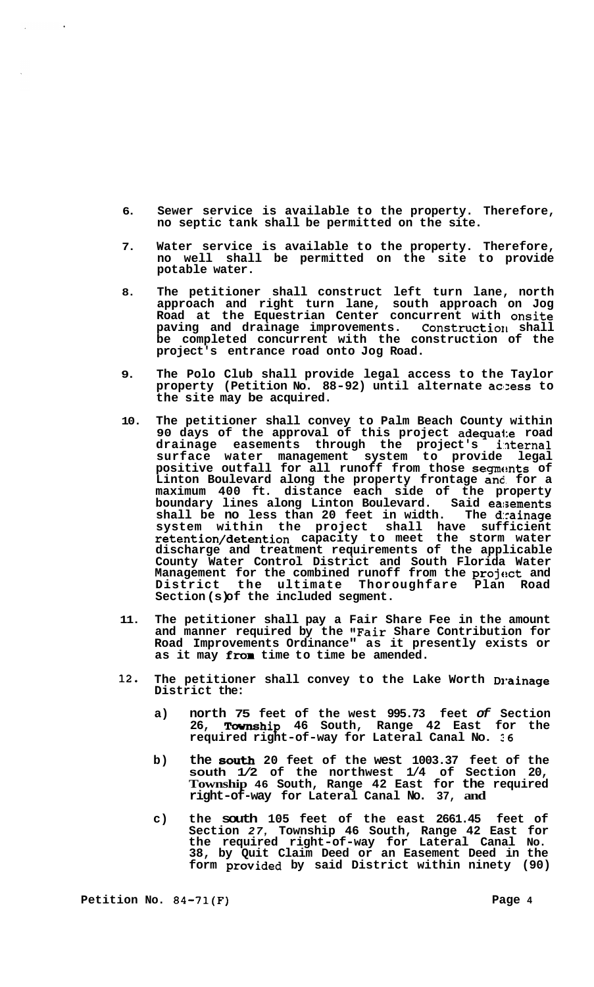- **6. Sewer service is available to the property. Therefore, no septic tank shall be permitted on the site.**
- **7. Water service is available to the property. Therefore, no well shall be permitted on the site to provide potable water.**
- **8. The petitioner shall construct left turn lane, north approach and right turn lane, south approach on Jog Road at the Equestrian Center concurrent with onsite paving and drainage improvements. Construction shall be completed concurrent with the construction of the project's entrance road onto Jog Road.**
- **9. The Polo Club shall provide legal access to the Taylor property (Petition No. 88-92) until alternate aclzess to the site may be acquired.**
- **10. The petitioner shall convey to Palm Beach County within 90 days of the approval of this project adequate road drainage easements through the project's i:nternal surface water management system to provide legal positive outfall for all runoff from those segments of Linton Boulevard along the property frontage and. for a maximum 400 ft. distance each side of the property boundary lines along Linton Boulevard. Said easements**  shall be no less than 20 feet in width. **system within the project shall have sufficient retention/detention capacity to meet the storm water discharge and treatment requirements of the applicable County Water Control District and South Florida Water**  Management for the combined runoff from the project and **District the ultimate Thoroughfare Plan Road Section (s) of the included segment.**
- **11. The petitioner shall pay a Fair Share Fee in the amount and manner required by the "Fair Share Contribution for Road Improvements Ordinance" as it presently exists or as it may frcm time to time be amended.**
- 12. The petitioner shall convey to the Lake Worth Drainage **District the:** 
	- **a) north 75 feet of the west 995.73 feet** *of* **Section 26, Tavnship 46 South, Range 42 East for the required right-of-way for Lateral Canal No. 26**
	- **b) the** *809th* **20 feet of the west 1003.37 feet of the south 1/2 of the northwest 1/4 of Section 20, Township 46 South, Range 42 East for the required right-of-way for Lateral Canal No. 37, and**
	- **c) the south 105 feet of the east 2661.45 feet of Section** *27,* **Township 46 South, Range 42 East for the required right-of-way for Lateral Canal No. 38, by Quit Claim Deed or an Easement Deed in the form provided by said District within ninety (90)**